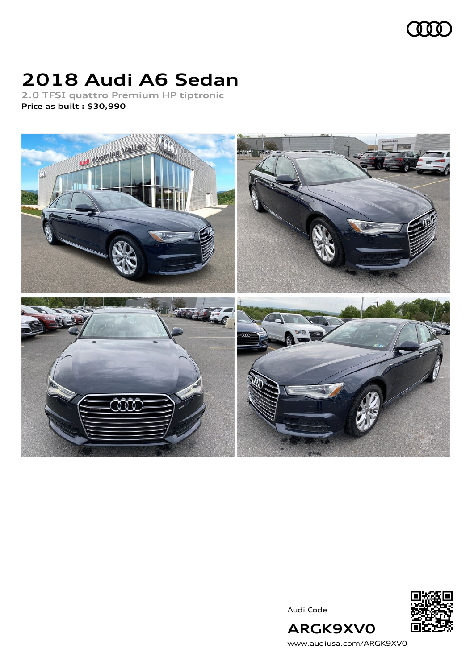

## **2018 Audi A6 Sedan**

**2.0 TFSI quattro Premium HP tiptronic Price as built [:](#page-10-0) \$30,990**



Audi Code



[www.audiusa.com/ARGK9XV0](https://www.audiusa.com/ARGK9XV0)

**ARGK9XV0**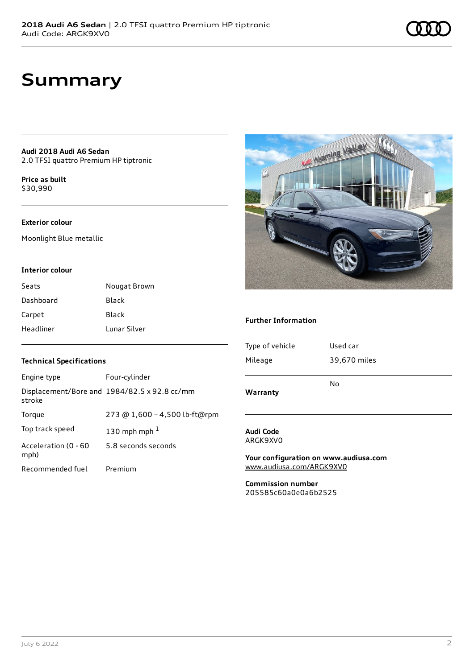## **Summary**

**Audi 2018 Audi A6 Sedan** 2.0 TFSI quattro Premium HP tiptronic

**Price as buil[t](#page-10-0)** \$30,990

#### **Exterior colour**

Moonlight Blue metallic

#### **Interior colour**

| Seats     | Nougat Brown |
|-----------|--------------|
| Dashboard | Black        |
| Carpet    | Black        |
| Headliner | Lunar Silver |

#### **Technical Specifications**

| Engine type                  | Four-cylinder                                |
|------------------------------|----------------------------------------------|
| stroke                       | Displacement/Bore and 1984/82.5 x 92.8 cc/mm |
| Torque                       | 273 @ 1,600 - 4,500 lb-ft@rpm                |
| Top track speed              | 130 mph mph $1$                              |
| Acceleration (0 - 60<br>mph) | 5.8 seconds seconds                          |
| Recommended fuel             | Premium                                      |



#### **Further Information**

| Warranty        | No           |
|-----------------|--------------|
|                 |              |
| Mileage         | 39,670 miles |
|                 |              |
| Type of vehicle | Used car     |
|                 |              |

#### **Audi Code** ARGK9XV0

**Your configuration on www.audiusa.com** [www.audiusa.com/ARGK9XV0](https://www.audiusa.com/ARGK9XV0)

**Commission number** 205585c60a0e0a6b2525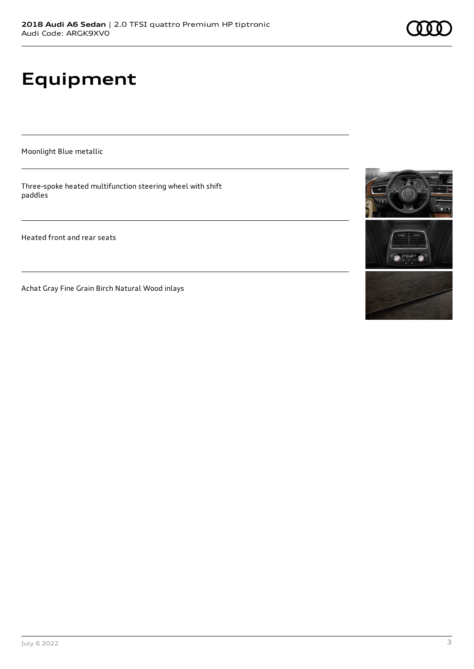# **Equipment**

Moonlight Blue metallic

Three-spoke heated multifunction steering wheel with shift paddles

Heated front and rear seats

Achat Gray Fine Grain Birch Natural Wood inlays

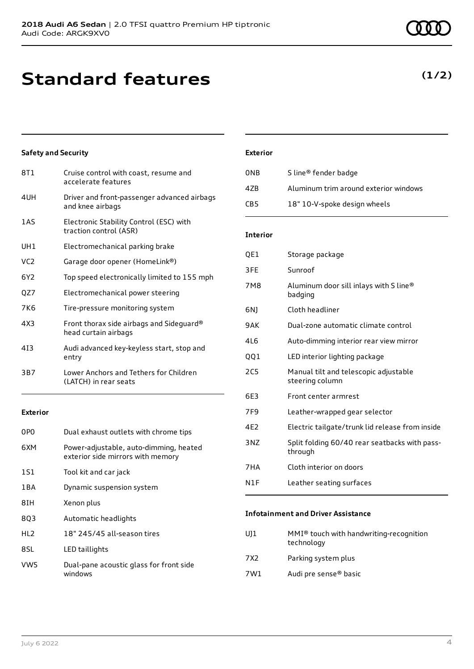## **Standard features**

8T1 Cruise control with coast, resume and accelerate features

1AS Electronic Stability Control (ESC) with traction control (ASR)

UH1 Electromechanical parking brake VC2 Garage door opener (HomeLink®)

QZ7 Electromechanical power steering 7K6 Tire-pressure monitoring system

head curtain airbags

entry

1S1 Tool kit and car jack

8Q3 Automatic headlights

8IH Xenon plus

8SL LED taillights

1BA Dynamic suspension system

and knee airbags

4UH Driver and front-passenger advanced airbags

6Y2 Top speed electronically limited to 155 mph

4X3 Front thorax side airbags and Sideguard®

4I3 Audi advanced key-keyless start, stop and

3B7 Lower Anchors and Tethers for Children (LATCH) in rear seats

0P0 Dual exhaust outlets with chrome tips

6XM Power-adjustable, auto-dimming, heated exterior side mirrors with memory

**Safety and Security**

#### HL2 18" 245/45 all-season tires

**Exterior**

VW5 Dual-pane acoustic glass for front side windows

#### **Exterior**

| 0NB             | S line <sup>®</sup> fender badge      |
|-----------------|---------------------------------------|
| 47B             | Aluminum trim around exterior windows |
| CB <sub>5</sub> | 18" 10-V-spoke design wheels          |

#### **Interior**

| QE1             | Storage package                                          |
|-----------------|----------------------------------------------------------|
| 3FE             | Sunroof                                                  |
| 7M8             | Aluminum door sill inlays with S line®<br>badging        |
| 6NJ             | Cloth headliner                                          |
| 9AK             | Dual-zone automatic climate control                      |
| 4L6             | Auto-dimming interior rear view mirror                   |
| QQ1             | LED interior lighting package                            |
| 2C <sub>5</sub> | Manual tilt and telescopic adjustable<br>steering column |
| 6E3             | Front center armrest                                     |
| 7F <sub>9</sub> | Leather-wrapped gear selector                            |
| 4E2             | Electric tailgate/trunk lid release from inside          |
| 3NZ             | Split folding 60/40 rear seatbacks with pass-<br>through |
| 7HA             | Cloth interior on doors                                  |
| N1F             | Leather seating surfaces                                 |

#### **Infotainment and Driver Assistance**

| U11 | MMI <sup>®</sup> touch with handwriting-recognition<br>technology |
|-----|-------------------------------------------------------------------|
| 7X2 | Parking system plus                                               |

7W1 Audi pre sense® basic

### **(1/2)**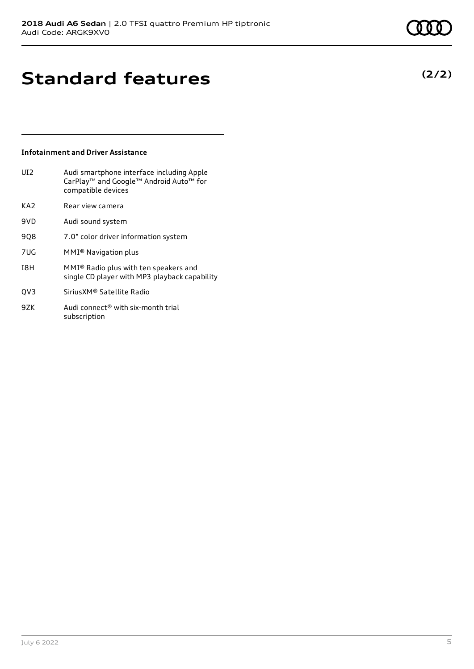**(2/2)**

## **Standard features**

#### **Infotainment and Driver Assistance**

| UI2. | Audi smartphone interface including Apple          |
|------|----------------------------------------------------|
|      | CarPlay <sup>™</sup> and Google™ Android Auto™ for |
|      | compatible devices                                 |
|      |                                                    |

- KA2 Rear view camera
- 9VD Audi sound system
- 9Q8 7.0" color driver information system
- 7UG MMI® Navigation plus
- I8H MMI® Radio plus with ten speakers and single CD player with MP3 playback capability
- QV3 SiriusXM® Satellite Radio
- 9ZK Audi connect<sup>®</sup> with six-month trial subscription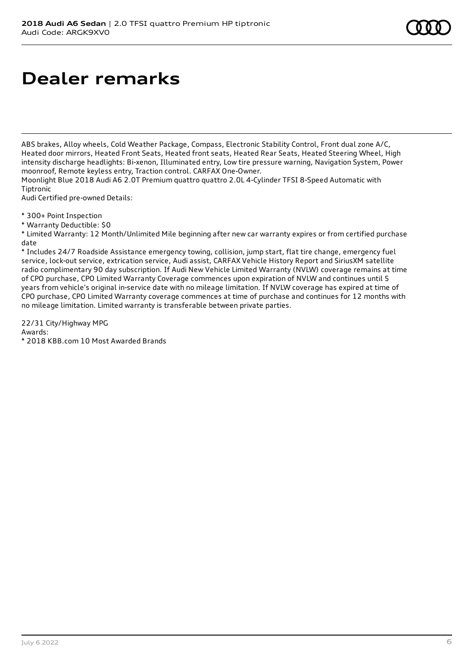# **Dealer remarks**

ABS brakes, Alloy wheels, Cold Weather Package, Compass, Electronic Stability Control, Front dual zone A/C, Heated door mirrors, Heated Front Seats, Heated front seats, Heated Rear Seats, Heated Steering Wheel, High intensity discharge headlights: Bi-xenon, Illuminated entry, Low tire pressure warning, Navigation System, Power moonroof, Remote keyless entry, Traction control. CARFAX One-Owner.

Moonlight Blue 2018 Audi A6 2.0T Premium quattro quattro 2.0L 4-Cylinder TFSI 8-Speed Automatic with Tiptronic

Audi Certified pre-owned Details:

\* 300+ Point Inspection

\* Warranty Deductible: \$0

\* Limited Warranty: 12 Month/Unlimited Mile beginning after new car warranty expires or from certified purchase date

\* Includes 24/7 Roadside Assistance emergency towing, collision, jump start, flat tire change, emergency fuel service, lock-out service, extrication service, Audi assist, CARFAX Vehicle History Report and SiriusXM satellite radio complimentary 90 day subscription. If Audi New Vehicle Limited Warranty (NVLW) coverage remains at time of CPO purchase, CPO Limited Warranty Coverage commences upon expiration of NVLW and continues until 5 years from vehicle's original in-service date with no mileage limitation. If NVLW coverage has expired at time of CPO purchase, CPO Limited Warranty coverage commences at time of purchase and continues for 12 months with no mileage limitation. Limited warranty is transferable between private parties.

22/31 City/Highway MPG Awards:

\* 2018 KBB.com 10 Most Awarded Brands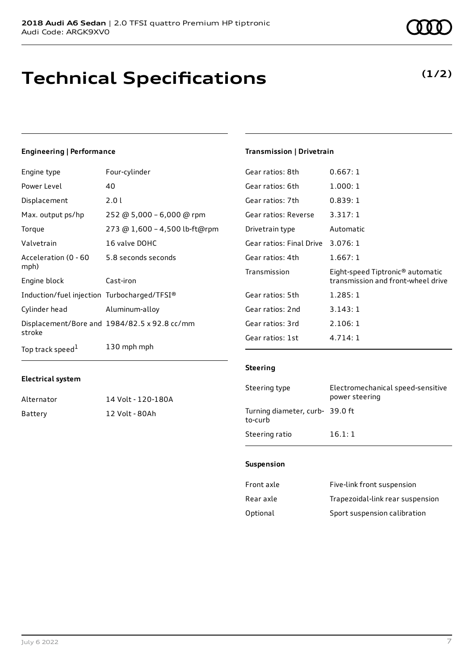## **Technical Specifications**

#### **Engineering | Performance**

| Engine type                                 | Four-cylinder                                |
|---------------------------------------------|----------------------------------------------|
| Power Level                                 | 40                                           |
| Displacement                                | 2.0 l                                        |
| Max. output ps/hp                           | 252 @ 5,000 - 6,000 @ rpm                    |
| Torque                                      | 273 @ 1,600 - 4,500 lb-ft@rpm                |
| Valvetrain                                  | 16 valve DOHC                                |
| Acceleration (0 - 60<br>mph)                | 5.8 seconds seconds                          |
| Engine block                                | Cast-iron                                    |
| Induction/fuel injection Turbocharged/TFSI® |                                              |
| Cylinder head                               | Aluminum-alloy                               |
| stroke                                      | Displacement/Bore and 1984/82.5 x 92.8 cc/mm |
| Top track speed <sup>1</sup>                | 130 mph mph                                  |

#### **Transmission | Drivetrain**

| Gear ratios: 8th         | 0.667: 1                                                                           |
|--------------------------|------------------------------------------------------------------------------------|
| Gear ratios: 6th         | 1.000:1                                                                            |
| Gear ratios: 7th         | 0.839:1                                                                            |
| Gear ratios: Reverse     | 3.317:1                                                                            |
| Drivetrain type          | Automatic                                                                          |
| Gear ratios: Final Drive | 3.076:1                                                                            |
| Gear ratios: 4th         | 1.667:1                                                                            |
| Transmission             | Eight-speed Tiptronic <sup>®</sup> automatic<br>transmission and front-wheel drive |
| Gear ratios: 5th         | 1.285:1                                                                            |
| Gear ratios: 2nd         | 3.143:1                                                                            |
| Gear ratios: 3rd         | 2.106:1                                                                            |
| Gear ratios: 1st         | 4.714:1                                                                            |

#### **Electrical system**

| Alternator | 14 Volt - 120-180A |
|------------|--------------------|
| Battery    | 12 Volt - 80Ah     |

#### **Steering**

| Steering type                             | Electromechanical speed-sensitive<br>power steering |
|-------------------------------------------|-----------------------------------------------------|
| Turning diameter, curb-39.0 ft<br>to-curb |                                                     |
| Steering ratio                            | 16.1:1                                              |

#### **Suspension**

| Front axle | Five-link front suspension       |
|------------|----------------------------------|
| Rear axle  | Trapezoidal-link rear suspension |
| Optional   | Sport suspension calibration     |

### **(1/2)**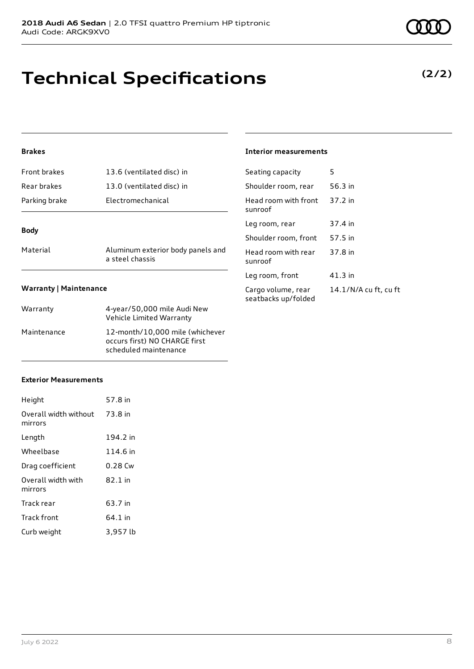# **Technical Specifications**

### **(2/2)**

#### **Brakes**

| <b>Body</b>         |                           |
|---------------------|---------------------------|
| Parking brake       | Electromechanical         |
| Rear brakes         | 13.0 (ventilated disc) in |
| <b>Front brakes</b> | 13.6 (ventilated disc) in |

Material Material Aluminum exterior body panels and a steel chassis

#### **Interior measurements**

| Seating capacity                          | 5                     |
|-------------------------------------------|-----------------------|
| Shoulder room, rear                       | 56.3 in               |
| Head room with front<br>sunroof           | 37.2 in               |
| Leg room, rear                            | 37.4 in               |
| Shoulder room, front                      | 57.5 in               |
| Head room with rear<br>sunroof            | 37.8 in               |
| Leg room, front                           | 41.3 in               |
| Cargo volume, rear<br>seatbacks up/folded | 14.1/N/A cu ft, cu ft |

#### **Warranty | Maintenance**

| Warranty    | 4-year/50,000 mile Audi New<br>Vehicle Limited Warranty                                   |
|-------------|-------------------------------------------------------------------------------------------|
| Maintenance | 12-month/10,000 mile (whichever<br>occurs first) NO CHARGE first<br>scheduled maintenance |

#### **Exterior Measurements**

| Height                           | 57.8 in  |
|----------------------------------|----------|
| Overall width without<br>mirrors | 73.8 in  |
| Length                           | 194.2 in |
| Wheelbase                        | 114.6 in |
| Drag coefficient                 | 0.28 Cw  |
| Overall width with<br>mirrors    | 82.1 in  |
| Track rear                       | 63.7 in  |
| Track front                      | 64.1 in  |
| Curb weight                      | 3,957 lb |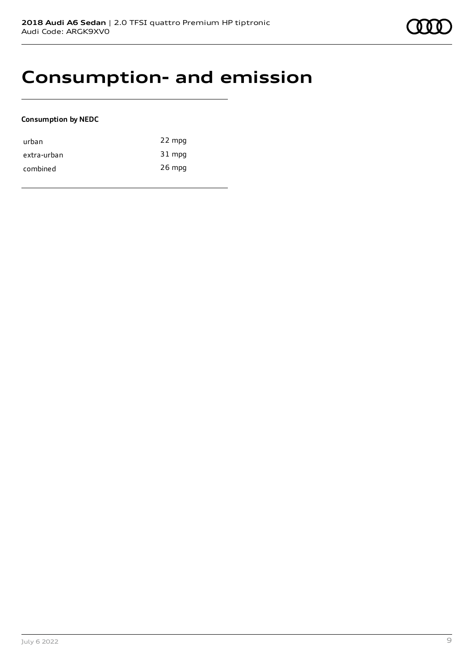### **Consumption- and emission**

#### **Consumption by NEDC**

| urban       | 22 mpg   |
|-------------|----------|
| extra-urban | 31 mpg   |
| combined    | $26$ mpg |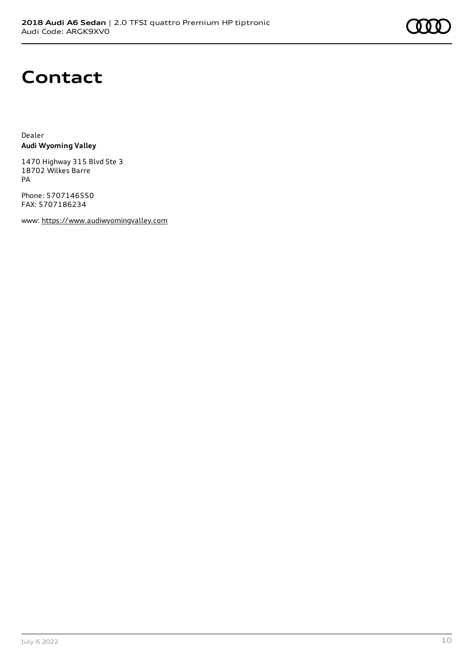### **Contact**

Dealer **Audi Wyoming Valley**

1470 Highway 315 Blvd Ste 3 18702 Wilkes Barre PA

Phone: 5707146550 FAX: 5707186234

www: [https://www.audiwyomingvalley.com](https://www.audiwyomingvalley.com/)